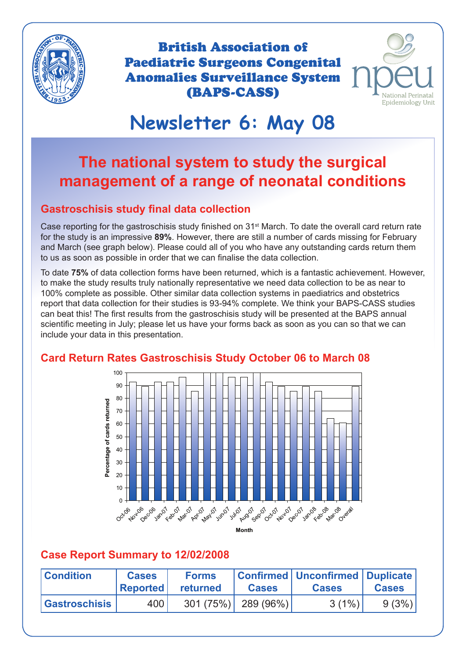

British Association of Paediatric Surgeons Congenital Anomalies Surveillance System (BAPS-CASS)



# **Newsletter 6: May 08**

# **The national system to study the surgical management of a range of neonatal conditions**

#### **Gastroschisis study final data collection**

Case reporting for the gastroschisis study finished on 31<sup>st</sup> March. To date the overall card return rate for the study is an impressive **89%**. However, there are still a number of cards missing for February and March (see graph below). Please could all of you who have any outstanding cards return them to us as soon as possible in order that we can finalise the data collection.

To date **75%** of data collection forms have been returned, which is a fantastic achievement. However, to make the study results truly nationally representative we need data collection to be as near to 100% complete as possible. Other similar data collection systems in paediatrics and obstetrics report that data collection for their studies is 93-94% complete. We think your BAPS-CASS studies can beat this! The first results from the gastroschisis study will be presented at the BAPS annual scientific meeting in July; please let us have your forms back as soon as you can so that we can include your data in this presentation.

#### **Card Return Rates Gastroschisis Study October 06 to March 08**



#### **Case Report Summary to 12/02/2008**

| <b>Condition</b>     | <b>Cases</b><br><b>Reported</b> | <b>Forms</b><br>returned | <b>Cases</b>          | Confirmed   Unconfirmed   Duplicate  <br><b>Cases</b> | <b>Cases</b> |
|----------------------|---------------------------------|--------------------------|-----------------------|-------------------------------------------------------|--------------|
| <b>Gastroschisis</b> | 400                             |                          | $301 (75%)$ 289 (96%) | $3(1\%)$                                              | 9(3%)        |